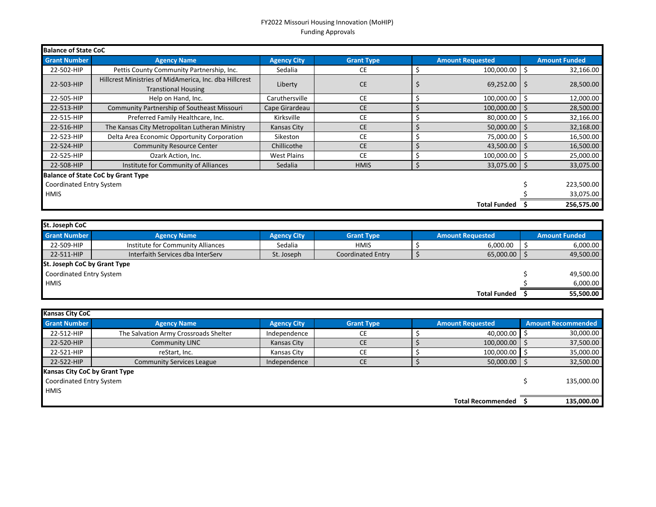## FY2022 Missouri Housing Innovation (MoHIP) Funding Approvals

| <b>Balance of State CoC</b> |                                                                                      |                    |                   |   |                         |              |                      |  |
|-----------------------------|--------------------------------------------------------------------------------------|--------------------|-------------------|---|-------------------------|--------------|----------------------|--|
| <b>Grant Number</b>         | <b>Agency Name</b>                                                                   | <b>Agency City</b> | <b>Grant Type</b> |   | <b>Amount Requested</b> |              | <b>Amount Funded</b> |  |
| 22-502-HIP                  | Pettis County Community Partnership, Inc.                                            | Sedalia            | CE                |   | 100,000.00              | -\$          | 32,166.00            |  |
| 22-503-HIP                  | Hillcrest Ministries of MidAmerica, Inc. dba Hillcrest<br><b>Transtional Housing</b> | Liberty            | <b>CE</b>         |   | 69,252.00               | -Ŝ           | 28,500.00            |  |
| 22-505-HIP                  | Help on Hand, Inc.                                                                   | Caruthersville     | <b>CE</b>         |   | 100,000.00              | -Ŝ           | 12,000.00            |  |
| 22-513-HIP                  | <b>Community Partnership of Southeast Missouri</b>                                   | Cape Girardeau     | <b>CE</b>         |   | 100,000.00              |              | 28,500.00            |  |
| 22-515-HIP                  | Preferred Family Healthcare, Inc.                                                    | Kirksville         | CE                |   | 80,000.00               |              | 32,166.00            |  |
| 22-516-HIP                  | The Kansas City Metropolitan Lutheran Ministry                                       | Kansas City        | <b>CE</b>         |   | 50,000.00               | -\$          | 32,168.00            |  |
| 22-523-HIP                  | Delta Area Economic Opportunity Corporation                                          | Sikeston           | <b>CE</b>         | S | 75,000.00               |              | 16,500.00            |  |
| 22-524-HIP                  | <b>Community Resource Center</b>                                                     | Chillicothe        | <b>CE</b>         |   | 43,500.00               | <sub>S</sub> | 16,500.00            |  |
| 22-525-HIP                  | Ozark Action, Inc.                                                                   | <b>West Plains</b> | <b>CE</b>         |   | 100,000.00              | -S           | 25,000.00            |  |
| 22-508-HIP                  | Institute for Community of Alliances                                                 | Sedalia            | <b>HMIS</b>       | S | 33,075.00               | -S           | 33,075.00            |  |
|                             | <b>Balance of State CoC by Grant Type</b>                                            |                    |                   |   |                         |              |                      |  |
| Coordinated Entry System    |                                                                                      |                    |                   |   |                         |              | 223,500.00           |  |
| <b>HMIS</b>                 |                                                                                      |                    |                   |   |                         |              | 33,075.00            |  |
|                             |                                                                                      |                    |                   |   | <b>Total Funded</b>     |              | 256,575.00           |  |

| St. Joseph CoC               |                                   |                    |                          |  |                         |  |                      |  |
|------------------------------|-----------------------------------|--------------------|--------------------------|--|-------------------------|--|----------------------|--|
| <b>Grant Number</b>          | <b>Agency Name</b>                | <b>Agency City</b> | <b>Grant Type</b>        |  | <b>Amount Requested</b> |  | <b>Amount Funded</b> |  |
| 22-509-HIP                   | Institute for Community Alliances | Sedalia            | <b>HMIS</b>              |  | 6,000.00                |  | 6,000.00             |  |
| 22-511-HIP                   | Interfaith Services dba InterServ | St. Joseph         | <b>Coordinated Entry</b> |  | 65,000.00               |  | 49,500.00            |  |
| St. Joseph CoC by Grant Type |                                   |                    |                          |  |                         |  |                      |  |
| Coordinated Entry System     |                                   |                    |                          |  |                         |  | 49,500.00            |  |
| <b>HMIS</b>                  |                                   |                    |                          |  |                         |  | 6,000.00             |  |
|                              |                                   |                    |                          |  | <b>Total Funded</b>     |  | 55.500.00            |  |

| <b>Kansas City CoC</b>               |                                       |                    |                   |  |                          |  |                           |  |
|--------------------------------------|---------------------------------------|--------------------|-------------------|--|--------------------------|--|---------------------------|--|
| <b>Grant Number</b>                  | <b>Agency Name</b>                    | <b>Agency City</b> | <b>Grant Type</b> |  | <b>Amount Requested</b>  |  | <b>Amount Recommended</b> |  |
| 22-512-HIP                           | The Salvation Army Crossroads Shelter | Independence       | <b>CE</b>         |  | 40,000.00                |  | 30,000.00                 |  |
| 22-520-HIP                           | <b>Community LINC</b>                 | Kansas City        | <b>CE</b>         |  | 100,000.00               |  | 37,500.00                 |  |
| 22-521-HIP                           | reStart, Inc.                         | Kansas City        | CE                |  | 100,000.00               |  | 35,000.00                 |  |
| 22-522-HIP                           | <b>Community Services League</b>      | Independence       | <b>CE</b>         |  | 50,000.00                |  | 32,500.00                 |  |
| <b>Kansas City CoC by Grant Type</b> |                                       |                    |                   |  |                          |  |                           |  |
| Coordinated Entry System             |                                       |                    |                   |  |                          |  | 135,000.00                |  |
| <b>HMIS</b>                          |                                       |                    |                   |  |                          |  |                           |  |
|                                      |                                       |                    |                   |  | <b>Total Recommended</b> |  | 135.000.00                |  |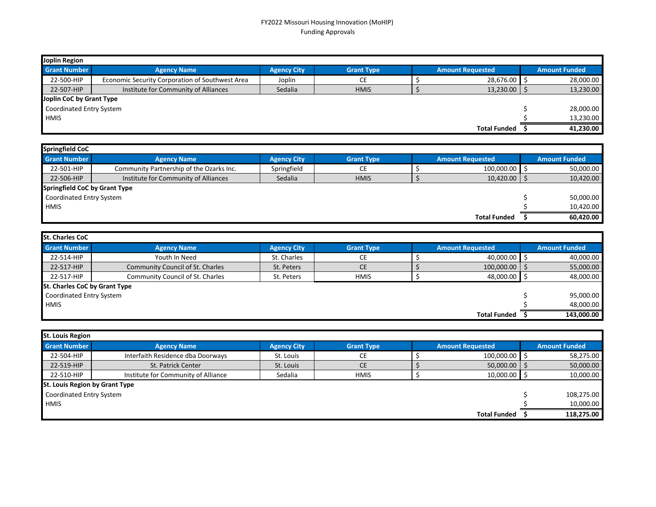## FY2022 Missouri Housing Innovation (MoHIP) Funding Approvals

| Joplin Region            |                                                 |                    |                   |  |                         |  |                      |  |
|--------------------------|-------------------------------------------------|--------------------|-------------------|--|-------------------------|--|----------------------|--|
| <b>Grant Number</b>      | <b>Agency Name</b>                              | <b>Agency City</b> | <b>Grant Type</b> |  | <b>Amount Requested</b> |  | <b>Amount Funded</b> |  |
| 22-500-HIP               | Economic Security Corporation of Southwest Area | Joplin             | СE                |  | 28,676.00               |  | 28,000.00            |  |
| 22-507-HIP               | Institute for Community of Alliances            | Sedalia            | <b>HMIS</b>       |  | $13,230.00$   \$        |  | 13,230.00            |  |
| Joplin CoC by Grant Type |                                                 |                    |                   |  |                         |  |                      |  |
| Coordinated Entry System |                                                 |                    |                   |  |                         |  | 28,000.00            |  |
| <b>HMIS</b>              |                                                 |                    |                   |  |                         |  | 13,230.00            |  |
|                          |                                                 |                    |                   |  | <b>Total Funded</b>     |  | 41,230.00            |  |

| <b>Springfield CoC</b>        |                                          |                    |                   |  |                         |  |                      |  |
|-------------------------------|------------------------------------------|--------------------|-------------------|--|-------------------------|--|----------------------|--|
| <b>Grant Number</b>           | <b>Agency Name</b>                       | <b>Agency City</b> | <b>Grant Type</b> |  | <b>Amount Requested</b> |  | <b>Amount Funded</b> |  |
| 22-501-HIP                    | Community Partnership of the Ozarks Inc. | Springfield        | CЕ                |  | 100,000.00              |  | 50,000.00            |  |
| 22-506-HIP                    | Institute for Community of Alliances     | Sedalia            | <b>HMIS</b>       |  | 10,420.00               |  | 10,420.00            |  |
| Springfield CoC by Grant Type |                                          |                    |                   |  |                         |  |                      |  |
| Coordinated Entry System      |                                          |                    |                   |  |                         |  | 50,000.00            |  |
| <b>HMIS</b>                   |                                          |                    |                   |  |                         |  | 10,420.00            |  |
|                               |                                          |                    |                   |  | <b>Total Funded</b>     |  | 60,420.00            |  |

| <b>St. Charles CoC</b>               |                                         |                    |                   |                         |                      |
|--------------------------------------|-----------------------------------------|--------------------|-------------------|-------------------------|----------------------|
| <b>Grant Number</b>                  | <b>Agency Name</b>                      | <b>Agency City</b> | <b>Grant Type</b> | <b>Amount Requested</b> | <b>Amount Funded</b> |
| 22-514-HIP                           | Youth In Need                           | St. Charles        | СE                | 40,000.00               | 40,000.00            |
| 22-517-HIP                           | <b>Community Council of St. Charles</b> | St. Peters         | <b>CE</b>         | 100,000.00              | 55,000.00            |
| 22-517-HIP                           | <b>Community Council of St. Charles</b> | St. Peters         | <b>HMIS</b>       | 48,000.00               | 48,000.00            |
| <b>St. Charles CoC by Grant Type</b> |                                         |                    |                   |                         |                      |
| Coordinated Entry System             |                                         |                    |                   |                         | 95,000.00            |
| <b>HMIS</b>                          |                                         |                    |                   |                         | 48,000.00            |
|                                      |                                         |                    |                   | <b>Total Funded</b>     | 143.000.00           |

| <b>St. Louis Region</b>               |                                     |                    |                   |  |                         |  |                      |  |
|---------------------------------------|-------------------------------------|--------------------|-------------------|--|-------------------------|--|----------------------|--|
| <b>Grant Number</b>                   | <b>Agency Name</b>                  | <b>Agency City</b> | <b>Grant Type</b> |  | <b>Amount Requested</b> |  | <b>Amount Funded</b> |  |
| 22-504-HIP                            | Interfaith Residence dba Doorways   | St. Louis          | CЕ                |  | 100,000.00              |  | 58,275.00            |  |
| 22-519-HIP                            | St. Patrick Center                  | St. Louis          | <b>CE</b>         |  | 50,000.00               |  | 50,000.00            |  |
| 22-510-HIP                            | Institute for Community of Alliance | Sedalia            | <b>HMIS</b>       |  | 10,000.00               |  | 10,000.00            |  |
| <b>St. Louis Region by Grant Type</b> |                                     |                    |                   |  |                         |  |                      |  |
| Coordinated Entry System              |                                     |                    |                   |  |                         |  | 108,275.00           |  |
| <b>HMIS</b>                           |                                     |                    |                   |  |                         |  | 10,000.00            |  |
|                                       |                                     |                    |                   |  | <b>Total Funded</b>     |  | 118,275.00           |  |